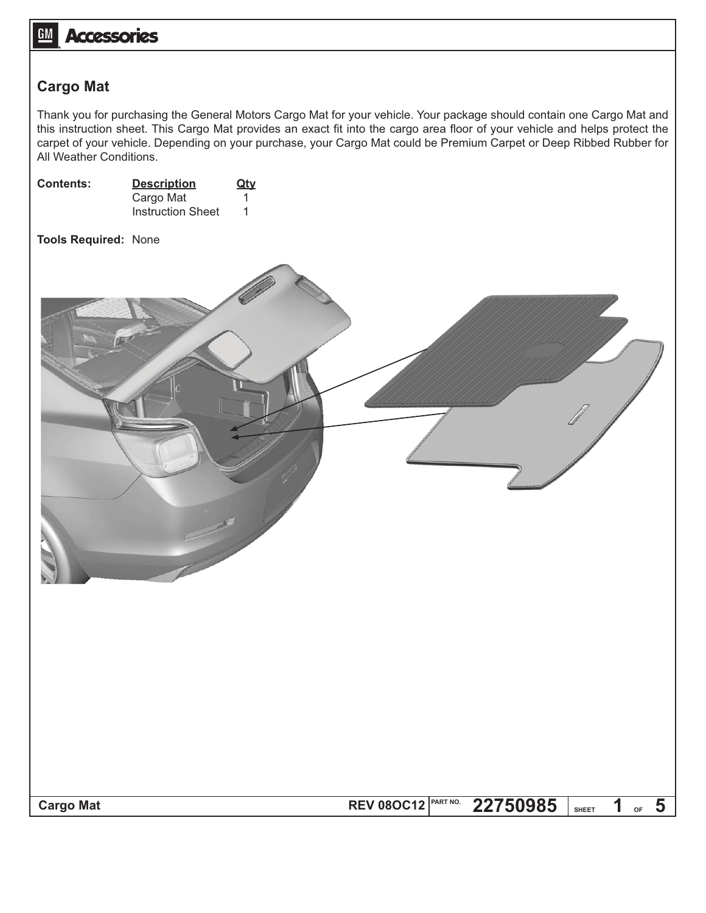## **GM Accessories**

## **Cargo Mat**

Thank you for purchasing the General Motors Cargo Mat for your vehicle. Your package should contain one Cargo Mat and this instruction sheet. This Cargo Mat provides an exact fit into the cargo area floor of your vehicle and helps protect the carpet of your vehicle. Depending on your purchase, your Cargo Mat could be Premium Carpet or Deep Ribbed Rubber for All Weather Conditions.

| Contents:                   | <b>Description</b><br>Cargo Mat<br>Instruction Sheet | Qty<br>1<br>$\mathbf{1}$ |                               |          |                      |    |                           |
|-----------------------------|------------------------------------------------------|--------------------------|-------------------------------|----------|----------------------|----|---------------------------|
| <b>Tools Required: None</b> |                                                      |                          |                               |          |                      |    |                           |
|                             |                                                      |                          |                               |          |                      |    |                           |
| <b>Cargo Mat</b>            |                                                      |                          | PART NO.<br><b>REV 080C12</b> | 22750985 | $\mathbf 1$<br>SHEET | OF | $\overline{\phantom{0}5}$ |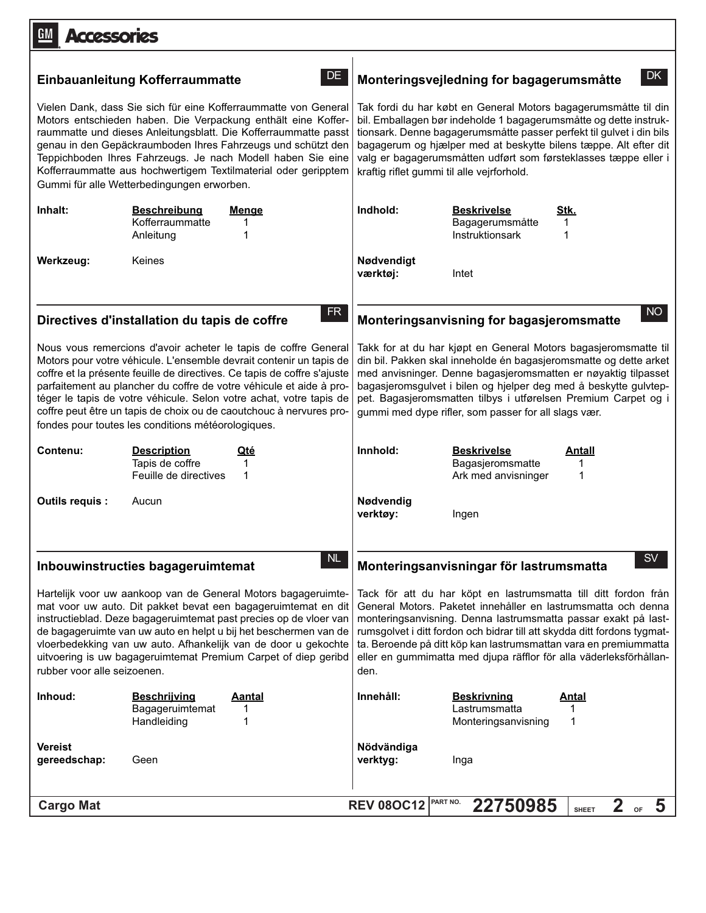| <b>Accessories</b>                                                                                                                                                                                                                                                                                                                                                                                                                                 |                                                                                                                                                                                                                                                                                                                                                                                                                                                                                               |                                                                                                                                                                                                                                                                                                                                                                                                                                  |                                                                                                                                                                                                                                                                                                                                                                                                      |  |  |
|----------------------------------------------------------------------------------------------------------------------------------------------------------------------------------------------------------------------------------------------------------------------------------------------------------------------------------------------------------------------------------------------------------------------------------------------------|-----------------------------------------------------------------------------------------------------------------------------------------------------------------------------------------------------------------------------------------------------------------------------------------------------------------------------------------------------------------------------------------------------------------------------------------------------------------------------------------------|----------------------------------------------------------------------------------------------------------------------------------------------------------------------------------------------------------------------------------------------------------------------------------------------------------------------------------------------------------------------------------------------------------------------------------|------------------------------------------------------------------------------------------------------------------------------------------------------------------------------------------------------------------------------------------------------------------------------------------------------------------------------------------------------------------------------------------------------|--|--|
|                                                                                                                                                                                                                                                                                                                                                                                                                                                    | DE.<br><b>Einbauanleitung Kofferraummatte</b>                                                                                                                                                                                                                                                                                                                                                                                                                                                 | DK<br>Monteringsvejledning for bagagerumsmåtte                                                                                                                                                                                                                                                                                                                                                                                   |                                                                                                                                                                                                                                                                                                                                                                                                      |  |  |
| Vielen Dank, dass Sie sich für eine Kofferraummatte von General<br>Motors entschieden haben. Die Verpackung enthält eine Koffer-<br>raummatte und dieses Anleitungsblatt. Die Kofferraummatte passt<br>genau in den Gepäckraumboden Ihres Fahrzeugs und schützt den<br>Teppichboden Ihres Fahrzeugs. Je nach Modell haben Sie eine<br>Kofferraummatte aus hochwertigem Textilmaterial oder geripptem<br>Gummi für alle Wetterbedingungen erworben. |                                                                                                                                                                                                                                                                                                                                                                                                                                                                                               | Tak fordi du har købt en General Motors bagagerumsmåtte til din<br>bil. Emballagen bør indeholde 1 bagagerumsmåtte og dette instruk-<br>tionsark. Denne bagagerumsmåtte passer perfekt til gulvet i din bils<br>bagagerum og hjælper med at beskytte bilens tæppe. Alt efter dit<br>valg er bagagerumsmåtten udført som førsteklasses tæppe eller i<br>kraftig riflet gummi til alle vejrforhold.                                |                                                                                                                                                                                                                                                                                                                                                                                                      |  |  |
| Inhalt:                                                                                                                                                                                                                                                                                                                                                                                                                                            | <b>Beschreibung</b><br><b>Menge</b><br>Kofferraummatte<br>1<br>Anleitung<br>1                                                                                                                                                                                                                                                                                                                                                                                                                 | Indhold:                                                                                                                                                                                                                                                                                                                                                                                                                         | <b>Beskrivelse</b><br>Stk.<br>Bagagerumsmåtte<br>1<br>Instruktionsark<br>1                                                                                                                                                                                                                                                                                                                           |  |  |
| Werkzeug:                                                                                                                                                                                                                                                                                                                                                                                                                                          | Keines                                                                                                                                                                                                                                                                                                                                                                                                                                                                                        | Nødvendigt<br>værktøj:                                                                                                                                                                                                                                                                                                                                                                                                           | Intet                                                                                                                                                                                                                                                                                                                                                                                                |  |  |
|                                                                                                                                                                                                                                                                                                                                                                                                                                                    | FR<br>Directives d'installation du tapis de coffre                                                                                                                                                                                                                                                                                                                                                                                                                                            |                                                                                                                                                                                                                                                                                                                                                                                                                                  | NO<br>Monteringsanvisning for bagasjeromsmatte                                                                                                                                                                                                                                                                                                                                                       |  |  |
|                                                                                                                                                                                                                                                                                                                                                                                                                                                    | Nous vous remercions d'avoir acheter le tapis de coffre General<br>Motors pour votre véhicule. L'ensemble devrait contenir un tapis de<br>coffre et la présente feuille de directives. Ce tapis de coffre s'ajuste<br>parfaitement au plancher du coffre de votre véhicule et aide à pro-<br>téger le tapis de votre véhicule. Selon votre achat, votre tapis de<br>coffre peut être un tapis de choix ou de caoutchouc à nervures pro-<br>fondes pour toutes les conditions météorologiques. |                                                                                                                                                                                                                                                                                                                                                                                                                                  | Takk for at du har kjøpt en General Motors bagasjeromsmatte til<br>din bil. Pakken skal inneholde én bagasjeromsmatte og dette arket<br>med anvisninger. Denne bagasjeromsmatten er nøyaktig tilpasset<br>bagasjeromsgulvet i bilen og hjelper deg med å beskytte gulvtep-<br>pet. Bagasjeromsmatten tilbys i utførelsen Premium Carpet og i<br>gummi med dype rifler, som passer for all slags vær. |  |  |
| Contenu:                                                                                                                                                                                                                                                                                                                                                                                                                                           | <b>Description</b><br>Qté<br>Tapis de coffre<br>1<br>Feuille de directives<br>1                                                                                                                                                                                                                                                                                                                                                                                                               | Innhold:                                                                                                                                                                                                                                                                                                                                                                                                                         | <b>Beskrivelse</b><br>Antall<br>Bagasjeromsmatte<br>1<br>Ark med anvisninger<br>1                                                                                                                                                                                                                                                                                                                    |  |  |
| Outils requis :                                                                                                                                                                                                                                                                                                                                                                                                                                    | Aucun                                                                                                                                                                                                                                                                                                                                                                                                                                                                                         | Nødvendig<br>verktøy:                                                                                                                                                                                                                                                                                                                                                                                                            | Ingen                                                                                                                                                                                                                                                                                                                                                                                                |  |  |
| NL<br>Inbouwinstructies bagageruimtemat                                                                                                                                                                                                                                                                                                                                                                                                            |                                                                                                                                                                                                                                                                                                                                                                                                                                                                                               | <b>SV</b><br>Monteringsanvisningar för lastrumsmatta                                                                                                                                                                                                                                                                                                                                                                             |                                                                                                                                                                                                                                                                                                                                                                                                      |  |  |
| Hartelijk voor uw aankoop van de General Motors bagageruimte-<br>mat voor uw auto. Dit pakket bevat een bagageruimtemat en dit<br>instructieblad. Deze bagageruimtemat past precies op de vloer van<br>de bagageruimte van uw auto en helpt u bij het beschermen van de<br>vloerbedekking van uw auto. Afhankelijk van de door u gekochte<br>uitvoering is uw bagageruimtemat Premium Carpet of diep geribd<br>rubber voor alle seizoenen.         |                                                                                                                                                                                                                                                                                                                                                                                                                                                                                               | Tack för att du har köpt en lastrumsmatta till ditt fordon från<br>General Motors. Paketet innehåller en lastrumsmatta och denna<br>monteringsanvisning. Denna lastrumsmatta passar exakt på last-<br>rumsgolvet i ditt fordon och bidrar till att skydda ditt fordons tygmat-<br>ta. Beroende på ditt köp kan lastrumsmattan vara en premiummatta<br>eller en gummimatta med djupa räfflor för alla väderleksförhållan-<br>den. |                                                                                                                                                                                                                                                                                                                                                                                                      |  |  |
| Inhoud:                                                                                                                                                                                                                                                                                                                                                                                                                                            | <b>Beschrijving</b><br><b>Aantal</b><br>Bagageruimtemat<br>1<br>Handleiding<br>1                                                                                                                                                                                                                                                                                                                                                                                                              | Innehåll:                                                                                                                                                                                                                                                                                                                                                                                                                        | <b>Beskrivning</b><br><u>Antal</u><br>Lastrumsmatta<br>1<br>1<br>Monteringsanvisning                                                                                                                                                                                                                                                                                                                 |  |  |
| Vereist<br>gereedschap:                                                                                                                                                                                                                                                                                                                                                                                                                            | Geen                                                                                                                                                                                                                                                                                                                                                                                                                                                                                          | Nödvändiga<br>verktyg:                                                                                                                                                                                                                                                                                                                                                                                                           | Inga                                                                                                                                                                                                                                                                                                                                                                                                 |  |  |
| <b>Cargo Mat</b>                                                                                                                                                                                                                                                                                                                                                                                                                                   |                                                                                                                                                                                                                                                                                                                                                                                                                                                                                               | <b>REV 08OC12</b>                                                                                                                                                                                                                                                                                                                                                                                                                | PART NO.<br>22750985<br>2 <sub>of</sub><br>$\overline{\mathbf{5}}$<br><b>SHEET</b>                                                                                                                                                                                                                                                                                                                   |  |  |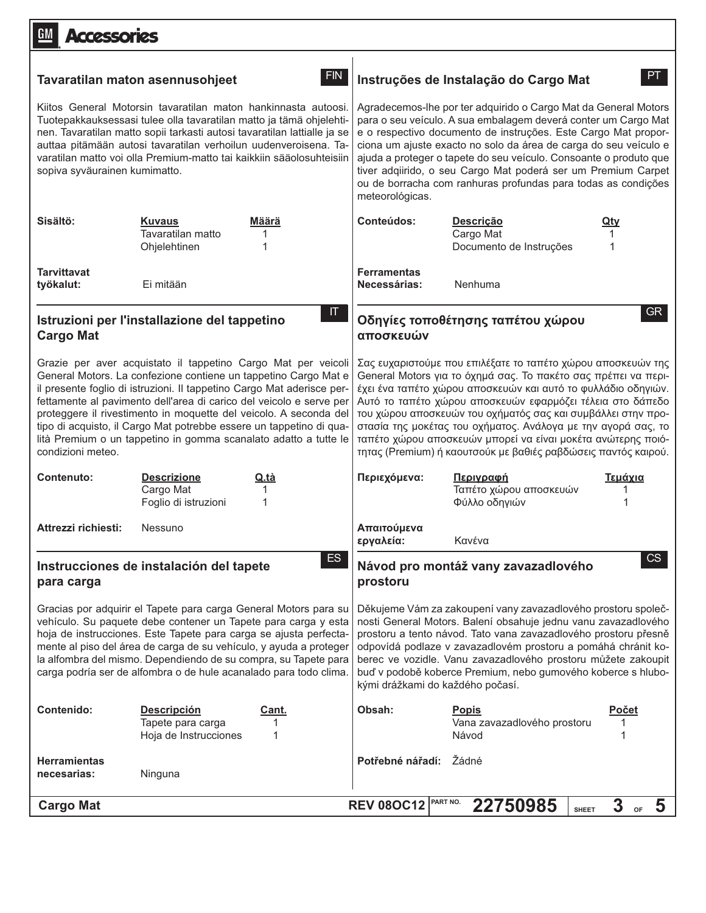| GM<br><b>Accessories</b>                                                                                                                                                                                                                                                                                                                                                                       |                                                                                                                                                                                                                                                                                                                                                                                                                                                                                                   |                        |                                                                                                                                                                                                                                                                                                                                                                                                                                                                                                   |                                                                                                                                                                                                                                                                                                                                                                                                                                                                                                                                  |                              |  |
|------------------------------------------------------------------------------------------------------------------------------------------------------------------------------------------------------------------------------------------------------------------------------------------------------------------------------------------------------------------------------------------------|---------------------------------------------------------------------------------------------------------------------------------------------------------------------------------------------------------------------------------------------------------------------------------------------------------------------------------------------------------------------------------------------------------------------------------------------------------------------------------------------------|------------------------|---------------------------------------------------------------------------------------------------------------------------------------------------------------------------------------------------------------------------------------------------------------------------------------------------------------------------------------------------------------------------------------------------------------------------------------------------------------------------------------------------|----------------------------------------------------------------------------------------------------------------------------------------------------------------------------------------------------------------------------------------------------------------------------------------------------------------------------------------------------------------------------------------------------------------------------------------------------------------------------------------------------------------------------------|------------------------------|--|
| <b>FIN</b><br>Tavaratilan maton asennusohjeet                                                                                                                                                                                                                                                                                                                                                  |                                                                                                                                                                                                                                                                                                                                                                                                                                                                                                   |                        | PT.<br>Instruções de Instalação do Cargo Mat                                                                                                                                                                                                                                                                                                                                                                                                                                                      |                                                                                                                                                                                                                                                                                                                                                                                                                                                                                                                                  |                              |  |
| Kiitos General Motorsin tavaratilan maton hankinnasta autoosi.<br>Tuotepakkauksessasi tulee olla tavaratilan matto ja tämä ohjelehti-<br>nen. Tavaratilan matto sopii tarkasti autosi tavaratilan lattialle ja se<br>auttaa pitämään autosi tavaratilan verhoilun uudenveroisena. Ta-<br>varatilan matto voi olla Premium-matto tai kaikkiin sääolosuhteisiin<br>sopiva syväurainen kumimatto. |                                                                                                                                                                                                                                                                                                                                                                                                                                                                                                   |                        | Agradecemos-lhe por ter adquirido o Cargo Mat da General Motors<br>para o seu veículo. A sua embalagem deverá conter um Cargo Mat<br>e o respectivo documento de instruções. Este Cargo Mat propor-<br>ciona um ajuste exacto no solo da área de carga do seu veículo e<br>ajuda a proteger o tapete do seu veículo. Consoante o produto que<br>tiver adqiirido, o seu Cargo Mat poderá ser um Premium Carpet<br>ou de borracha com ranhuras profundas para todas as condições<br>meteorológicas. |                                                                                                                                                                                                                                                                                                                                                                                                                                                                                                                                  |                              |  |
| Sisältö:                                                                                                                                                                                                                                                                                                                                                                                       | <b>Kuvaus</b><br>Tavaratilan matto<br>Ohjelehtinen                                                                                                                                                                                                                                                                                                                                                                                                                                                | Määrä<br>1<br>1        | Conteúdos:                                                                                                                                                                                                                                                                                                                                                                                                                                                                                        | <b>Descrição</b><br>Cargo Mat<br>Documento de Instruções                                                                                                                                                                                                                                                                                                                                                                                                                                                                         | <u>Qtv</u>                   |  |
| <b>Tarvittavat</b><br>työkalut:                                                                                                                                                                                                                                                                                                                                                                | Ei mitään                                                                                                                                                                                                                                                                                                                                                                                                                                                                                         |                        | <b>Ferramentas</b><br>Necessárias:                                                                                                                                                                                                                                                                                                                                                                                                                                                                | Nenhuma                                                                                                                                                                                                                                                                                                                                                                                                                                                                                                                          |                              |  |
| <b>Cargo Mat</b>                                                                                                                                                                                                                                                                                                                                                                               | Istruzioni per l'installazione del tappetino                                                                                                                                                                                                                                                                                                                                                                                                                                                      | $\mathbf{H}$           | αποσκευών                                                                                                                                                                                                                                                                                                                                                                                                                                                                                         | Οδηγίες τοποθέτησης ταπέτου χώρου                                                                                                                                                                                                                                                                                                                                                                                                                                                                                                | GR                           |  |
| condizioni meteo.                                                                                                                                                                                                                                                                                                                                                                              | Grazie per aver acquistato il tappetino Cargo Mat per veicoli<br>General Motors. La confezione contiene un tappetino Cargo Mat e<br>il presente foglio di istruzioni. Il tappetino Cargo Mat aderisce per-<br>fettamente al pavimento dell'area di carico del veicolo e serve per<br>proteggere il rivestimento in moquette del veicolo. A seconda del<br>tipo di acquisto, il Cargo Mat potrebbe essere un tappetino di qua-<br>lità Premium o un tappetino in gomma scanalato adatto a tutte le |                        |                                                                                                                                                                                                                                                                                                                                                                                                                                                                                                   | Σας ευχαριστούμε που επιλέξατε το ταπέτο χώρου αποσκευών της<br>General Motors για το όχημά σας. Το πακέτο σας πρέπει να περι-<br>έχει ένα ταπέτο χώρου αποσκευών και αυτό το φυλλάδιο οδηγιών.<br>Αυτό το ταπέτο χώρου αποσκευών εφαρμόζει τέλεια στο δάπεδο<br>του χώρου αποσκευών του οχήματός σας και συμβάλλει στην προ-<br>στασία της μοκέτας του οχήματος. Ανάλογα με την αγορά σας, το<br>ταπέτο χώρου αποσκευών μπορεί να είναι μοκέτα ανώτερης ποιό-<br>τητας (Premium) ή καουτσούκ με βαθιές ραβδώσεις παντός καιρού. |                              |  |
| Contenuto:                                                                                                                                                                                                                                                                                                                                                                                     | <b>Descrizione</b><br>Cargo Mat<br>Foglio di istruzioni                                                                                                                                                                                                                                                                                                                                                                                                                                           | Q.tà<br>1              | Περιεχόμενα:                                                                                                                                                                                                                                                                                                                                                                                                                                                                                      | Περιγραφή<br>Ταπέτο χώρου αποσκευών<br>Φύλλο οδηγιών                                                                                                                                                                                                                                                                                                                                                                                                                                                                             | Τεμάχια                      |  |
| Attrezzi richiesti:                                                                                                                                                                                                                                                                                                                                                                            | Nessuno                                                                                                                                                                                                                                                                                                                                                                                                                                                                                           |                        | Απαιτούμενα<br>εργαλεία:                                                                                                                                                                                                                                                                                                                                                                                                                                                                          | Κανένα                                                                                                                                                                                                                                                                                                                                                                                                                                                                                                                           |                              |  |
| ES <sub></sub><br>Instrucciones de instalación del tapete<br>para carga                                                                                                                                                                                                                                                                                                                        |                                                                                                                                                                                                                                                                                                                                                                                                                                                                                                   | prostoru               | Návod pro montáž vany zavazadlového                                                                                                                                                                                                                                                                                                                                                                                                                                                               | CS                                                                                                                                                                                                                                                                                                                                                                                                                                                                                                                               |                              |  |
|                                                                                                                                                                                                                                                                                                                                                                                                | Gracias por adquirir el Tapete para carga General Motors para su<br>vehículo. Su paquete debe contener un Tapete para carga y esta<br>hoja de instrucciones. Este Tapete para carga se ajusta perfecta-<br>mente al piso del área de carga de su vehículo, y ayuda a proteger<br>la alfombra del mismo. Dependiendo de su compra, su Tapete para<br>carga podría ser de alfombra o de hule acanalado para todo clima.                                                                             |                        |                                                                                                                                                                                                                                                                                                                                                                                                                                                                                                   | Děkujeme Vám za zakoupení vany zavazadlového prostoru společ-<br>nosti General Motors. Balení obsahuje jednu vanu zavazadlového<br>prostoru a tento návod. Tato vana zavazadlového prostoru přesně<br>odpovídá podlaze v zavazadlovém prostoru a pomáhá chránit ko-<br>berec ve vozidle. Vanu zavazadlového prostoru můžete zakoupit<br>buď v podobě koberce Premium, nebo gumového koberce s hlubo-<br>kými drážkami do každého počasí.                                                                                         |                              |  |
| Contenido:                                                                                                                                                                                                                                                                                                                                                                                     | <b>Descripción</b><br>Tapete para carga<br>Hoja de Instrucciones                                                                                                                                                                                                                                                                                                                                                                                                                                  | <u>Cant.</u><br>1<br>1 | Obsah:                                                                                                                                                                                                                                                                                                                                                                                                                                                                                            | <b>Popis</b><br>Vana zavazadlového prostoru<br>Návod                                                                                                                                                                                                                                                                                                                                                                                                                                                                             | <u>Počet</u><br>1<br>1       |  |
| <b>Herramientas</b><br>necesarias:                                                                                                                                                                                                                                                                                                                                                             | Ninguna                                                                                                                                                                                                                                                                                                                                                                                                                                                                                           |                        | Potřebné nářadí:                                                                                                                                                                                                                                                                                                                                                                                                                                                                                  | Žádné                                                                                                                                                                                                                                                                                                                                                                                                                                                                                                                            |                              |  |
| <b>Cargo Mat</b>                                                                                                                                                                                                                                                                                                                                                                               |                                                                                                                                                                                                                                                                                                                                                                                                                                                                                                   |                        | <b>REV 08OC12</b>                                                                                                                                                                                                                                                                                                                                                                                                                                                                                 | PART NO.<br>22750985                                                                                                                                                                                                                                                                                                                                                                                                                                                                                                             | 3<br>5<br>OF<br><b>SHEET</b> |  |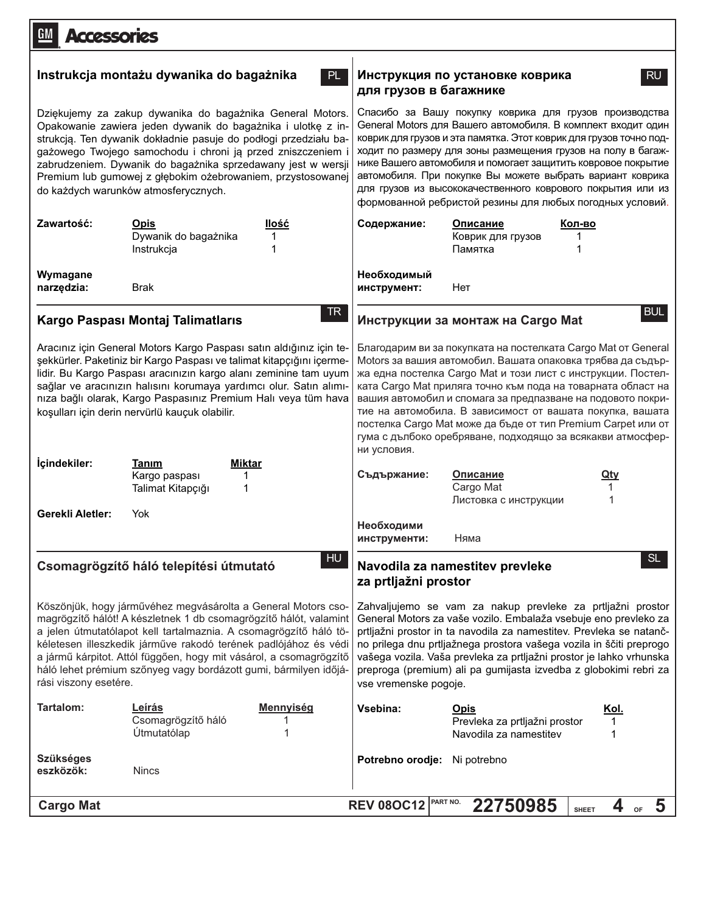| <b>GM</b><br><b>Accessories</b>                                                                                                                                                                                                                                                                                                                                                                                                               |                                                                                                                                                                                                                                                                                                                                                                                                                                                                                                                                       |  |  |  |
|-----------------------------------------------------------------------------------------------------------------------------------------------------------------------------------------------------------------------------------------------------------------------------------------------------------------------------------------------------------------------------------------------------------------------------------------------|---------------------------------------------------------------------------------------------------------------------------------------------------------------------------------------------------------------------------------------------------------------------------------------------------------------------------------------------------------------------------------------------------------------------------------------------------------------------------------------------------------------------------------------|--|--|--|
| Instrukcja montażu dywanika do bagażnika<br>PL.                                                                                                                                                                                                                                                                                                                                                                                               | Инструкция по установке коврика<br>RU.<br>для грузов в багажнике                                                                                                                                                                                                                                                                                                                                                                                                                                                                      |  |  |  |
| Dziękujemy za zakup dywanika do bagażnika General Motors.<br>Opakowanie zawiera jeden dywanik do bagażnika i ulotkę z in-<br>strukcją. Ten dywanik dokładnie pasuje do podłogi przedziału ba-<br>gażowego Twojego samochodu i chroni ją przed zniszczeniem<br>zabrudzeniem. Dywanik do bagażnika sprzedawany jest w wersji<br>Premium lub gumowej z głębokim ożebrowaniem, przystosowanej<br>do każdych warunków atmosferycznych.             | Спасибо за Вашу покупку коврика для грузов производства<br>General Motors для Вашего автомобиля. В комплект входит один<br>коврик для грузов и эта памятка. Этот коврик для грузов точно под-<br>ходит по размеру для зоны размещения грузов на полу в багаж-<br>нике Вашего автомобиля и помогает защитить ковровое покрытие<br>автомобиля. При покупке Вы можете выбрать вариант коврика<br>для грузов из высококачественного коврового покрытия или из<br>формованной ребристой резины для любых погодных условий.                 |  |  |  |
| Zawartość:<br>llość<br>Opis<br>Dywanik do bagażnika<br>1<br>Instrukcja<br>1                                                                                                                                                                                                                                                                                                                                                                   | Содержание:<br>Описание<br>Кол-во<br>Коврик для грузов<br>Памятка                                                                                                                                                                                                                                                                                                                                                                                                                                                                     |  |  |  |
| Wymagane<br>narzędzia:<br><b>Brak</b>                                                                                                                                                                                                                                                                                                                                                                                                         | Необходимый<br>Нет<br>инструмент:                                                                                                                                                                                                                                                                                                                                                                                                                                                                                                     |  |  |  |
| TR.<br>Kargo Paspası Montaj Talimatlarıs                                                                                                                                                                                                                                                                                                                                                                                                      | <b>BUL</b><br>Инструкции за монтаж на Cargo Mat                                                                                                                                                                                                                                                                                                                                                                                                                                                                                       |  |  |  |
| Aracınız için General Motors Kargo Paspası satın aldığınız için te-<br>şekkürler. Paketiniz bir Kargo Paspası ve talimat kitapçığını içerme-<br>lidir. Bu Kargo Paspası aracınızın kargo alanı zeminine tam uyum<br>sağlar ve aracınızın halısını korumaya yardımcı olur. Satın alımı-<br>nıza bağlı olarak, Kargo Paspasınız Premium Halı veya tüm hava<br>koşulları için derin nervürlü kauçuk olabilir.                                    | Благодарим ви за покупката на постелката Cargo Mat от General<br>Motors за вашия автомобил. Вашата опаковка трябва да съдър-<br>жа една постелка Cargo Mat и този лист с инструкции. Постел-<br>ката Cargo Mat приляга точно към пода на товарната област на<br>вашия автомобил и спомага за предпазване на подовото покри-<br>тие на автомобила. В зависимост от вашата покупка, вашата<br>постелка Cargo Mat може да бъде от тип Premium Carpet или от<br>гума с дълбоко оребряване, подходящо за всякакви атмосфер-<br>ни условия. |  |  |  |
| İçindekiler:<br>Tanım<br><b>Miktar</b><br>Kargo paspası<br>Talimat Kitapçığı                                                                                                                                                                                                                                                                                                                                                                  | Съдържание:<br>Описание<br><u>Qty</u><br>Cargo Mat<br>Листовка с инструкции                                                                                                                                                                                                                                                                                                                                                                                                                                                           |  |  |  |
| <b>Gerekli Aletler:</b><br>Yok                                                                                                                                                                                                                                                                                                                                                                                                                | Необходими<br>Няма<br>инструменти:                                                                                                                                                                                                                                                                                                                                                                                                                                                                                                    |  |  |  |
| HU<br>Csomagrögzítő háló telepítési útmutató                                                                                                                                                                                                                                                                                                                                                                                                  | SL<br>Navodila za namestitev prevleke<br>za prtljažni prostor                                                                                                                                                                                                                                                                                                                                                                                                                                                                         |  |  |  |
| Köszönjük, hogy járművéhez megvásárolta a General Motors cso-<br>magrögzítő hálót! A készletnek 1 db csomagrögzítő hálót, valamint<br>a jelen útmutatólapot kell tartalmaznia. A csomagrögzítő háló tö-<br>kéletesen illeszkedik járműve rakodó terének padlójához és védi<br>a jármű kárpitot. Attól függően, hogy mit vásárol, a csomagrögzítő<br>háló lehet prémium szőnyeg vagy bordázott gumi, bármilyen időjá-<br>rási viszony esetére. | Zahvaljujemo se vam za nakup prevleke za prtljažni prostor<br>General Motors za vaše vozilo. Embalaža vsebuje eno prevleko za<br>prtljažni prostor in ta navodila za namestitev. Prevleka se natanč-<br>no prilega dnu prtljažnega prostora vašega vozila in ščiti preprogo<br>vašega vozila. Vaša prevleka za prtljažni prostor je lahko vrhunska<br>preproga (premium) ali pa gumijasta izvedba z globokimi rebri za<br>vse vremenske pogoje.                                                                                       |  |  |  |
| Tartalom:<br>Leírás<br><b>Mennyiség</b><br>Csomagrögzítő háló<br>Útmutatólap                                                                                                                                                                                                                                                                                                                                                                  | Vsebina:<br><b>Opis</b><br><u>Kol.</u><br>Prevleka za prtljažni prostor<br>1<br>Navodila za namestitev<br>1                                                                                                                                                                                                                                                                                                                                                                                                                           |  |  |  |
| <b>Szükséges</b><br>eszközök:<br><b>Nincs</b>                                                                                                                                                                                                                                                                                                                                                                                                 | Potrebno orodje:<br>Ni potrebno                                                                                                                                                                                                                                                                                                                                                                                                                                                                                                       |  |  |  |
| <b>Cargo Mat</b>                                                                                                                                                                                                                                                                                                                                                                                                                              | PART NO.<br>22750985<br><b>REV 08OC12</b><br>4<br>$\overline{\mathbf{5}}$<br>OF<br><b>SHEET</b>                                                                                                                                                                                                                                                                                                                                                                                                                                       |  |  |  |